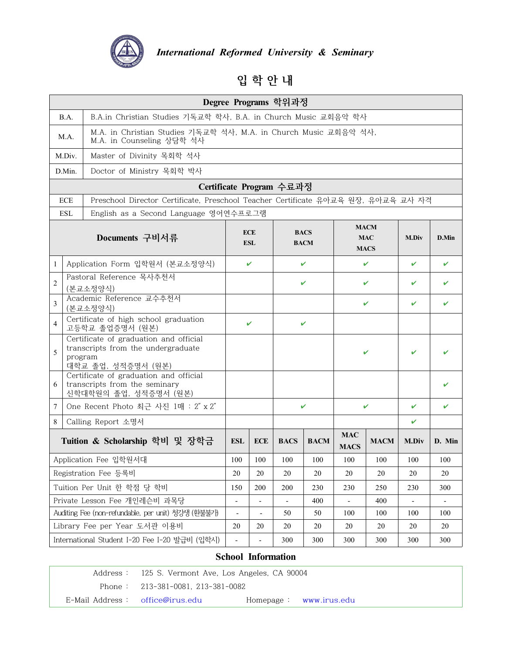

*International Reformed University & Seminary ormed University & Seminary*<br>입 학 안 내

|                              |            |                                                                                                    |                                                                |                                                                  | Degree Programs 학위과정     |                            |                           |                                          |              |              |
|------------------------------|------------|----------------------------------------------------------------------------------------------------|----------------------------------------------------------------|------------------------------------------------------------------|--------------------------|----------------------------|---------------------------|------------------------------------------|--------------|--------------|
|                              | B.A.       |                                                                                                    | B.A.in Christian Studies 기독교학 학사, B.A. in Church Music 교회음악 학사 |                                                                  |                          |                            |                           |                                          |              |              |
|                              | M.A.       | M.A. in Counseling 상담학 석사                                                                          |                                                                | M.A. in Christian Studies 기독교학 석사, M.A. in Church Music 교회음악 석사, |                          |                            |                           |                                          |              |              |
|                              | M.Div.     | Master of Divinity 목회학 석사                                                                          |                                                                |                                                                  |                          |                            |                           |                                          |              |              |
|                              | D.Min.     | Doctor of Ministry 목회학 박사                                                                          |                                                                |                                                                  |                          |                            |                           |                                          |              |              |
|                              |            |                                                                                                    |                                                                |                                                                  | Certificate Program 수료과정 |                            |                           |                                          |              |              |
|                              | <b>ECE</b> | Preschool Director Certificate, Preschool Teacher Certificate 유아교육 원장, 유아교육 교사 자격                  |                                                                |                                                                  |                          |                            |                           |                                          |              |              |
|                              | <b>ESL</b> | English as a Second Language 영어연수프로그램                                                              |                                                                |                                                                  |                          |                            |                           |                                          |              |              |
|                              |            | Documents 구비서류                                                                                     |                                                                | <b>ECE</b><br><b>ESL</b>                                         |                          | <b>BACS</b><br><b>BACM</b> |                           | <b>MACM</b><br><b>MAC</b><br><b>MACS</b> | <b>M.Div</b> | D.Min        |
| $\mathbf{1}$                 |            | Application Form 입학원서 (본교소정양식)                                                                     |                                                                | V                                                                |                          | V                          |                           | V                                        | V            | $\checkmark$ |
| $\overline{2}$               |            | Pastoral Reference 목사추천서                                                                           |                                                                |                                                                  |                          | V                          |                           | V                                        | V            | V            |
|                              |            | (본교소정양식)<br>Academic Reference 교수추천서                                                               |                                                                |                                                                  |                          |                            |                           |                                          |              |              |
| $\mathfrak{Z}$               |            | (본교소정양식)                                                                                           |                                                                |                                                                  |                          |                            |                           | V                                        | V            | V            |
| $\overline{4}$               |            | Certificate of high school graduation<br>고등학교 졸업증명서 (원본)                                           |                                                                | V                                                                |                          | V                          |                           |                                          |              |              |
| 5                            | program    | Certificate of graduation and official<br>transcripts from the undergraduate<br>대학교 졸업, 성적증명서 (원본) |                                                                |                                                                  |                          |                            |                           | ✓                                        | ✓            | V            |
| 6                            |            | Certificate of graduation and official<br>transcripts from the seminary<br>신학대학원의 졸업, 성적증명서 (원본)   |                                                                |                                                                  |                          |                            |                           |                                          |              | V            |
| 7                            |            | One Recent Photo 최근 사진 1매 : 2" x 2"                                                                |                                                                |                                                                  | V                        |                            | $\mathbf v$               |                                          | V            | V            |
| 8                            |            | Calling Report 소명서                                                                                 |                                                                |                                                                  |                          |                            |                           |                                          | ✓            |              |
|                              |            | Tuition & Scholarship 학비 및 장학금                                                                     | <b>ESL</b>                                                     | <b>ECE</b>                                                       | <b>BACS</b>              | <b>BACM</b>                | <b>MAC</b><br><b>MACS</b> | <b>MACM</b>                              | <b>M.Div</b> | D. Min       |
| Application Fee 입학원서대        |            | 100                                                                                                | 100                                                            | 100                                                              | 100                      | 100                        | 100                       | 100                                      | 100          |              |
| Registration Fee 등록비         |            | 20                                                                                                 | 20                                                             | 20                                                               | 20                       | 20                         | 20                        | 20                                       | 20           |              |
|                              |            | Tuition Per Unit 한 학점 당 학비                                                                         | 150                                                            | 200                                                              | 200                      | 230                        | 230                       | 250                                      | 230          | 300          |
| Private Lesson Fee 개인레슨비 과목당 |            |                                                                                                    |                                                                |                                                                  | 400                      |                            | 400                       |                                          |              |              |
|                              |            | Auditing Fee (non-refundable, per unit) 청강생 (환불불가)                                                 | $\overline{\phantom{a}}$                                       | $\overline{\phantom{a}}$                                         | 50                       | 50                         | 100                       | 100                                      | 100          | 100          |
|                              |            | Library Fee per Year 도서관 이용비                                                                       | 20                                                             | 20                                                               | 20                       | 20                         | 20                        | 20                                       | 20           | 20           |
|                              |            | International Student I-20 Fee I-20 발급비 (입학시)                                                      |                                                                | ÷,                                                               | 300                      | 300                        | 300                       | 300                                      | 300          | 300          |

# **School Information**

Address : 125 S. Vermont Ave, Los Angeles, CA 90004 Phone : 213-381-0081, 213-381-0082 E-Mail Address : office@irus.edu Homepage : www.irus.edu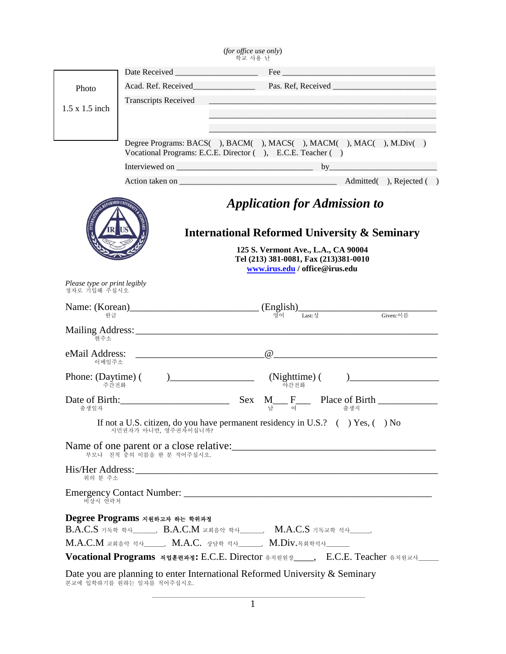|                                              |                               | (for office use only)<br>학교 사용 난                                                                                                                                               |
|----------------------------------------------|-------------------------------|--------------------------------------------------------------------------------------------------------------------------------------------------------------------------------|
|                                              |                               |                                                                                                                                                                                |
| Photo                                        |                               |                                                                                                                                                                                |
|                                              | <b>Transcripts Received</b>   |                                                                                                                                                                                |
| $1.5 \times 1.5$ inch                        |                               |                                                                                                                                                                                |
|                                              |                               |                                                                                                                                                                                |
|                                              |                               | Degree Programs: BACS(), BACM(), MACS(), MACM(), MAC(), M.Div()<br>Vocational Programs: E.C.E. Director (), E.C.E. Teacher ()                                                  |
|                                              |                               |                                                                                                                                                                                |
|                                              |                               |                                                                                                                                                                                |
|                                              |                               | <b>Application for Admission to</b><br><b>International Reformed University &amp; Seminary</b><br>125 S. Vermont Ave., L.A., CA 90004<br>Tel (213) 381-0081, Fax (213)381-0010 |
| Please type or print legibly<br>정자로 기입해 주십시오 |                               | www.irus.edu / office@irus.edu                                                                                                                                                 |
|                                              |                               | $Name: (Korean)$<br>$# \nexists$ (English)<br>$(g \circ)$ Last:성 Given:이름                                                                                                      |
| 혀주소                                          |                               |                                                                                                                                                                                |
| 이메일주소                                        |                               |                                                                                                                                                                                |
| 주가전화                                         |                               | 야간전화                                                                                                                                                                           |
| 출생일자                                         |                               |                                                                                                                                                                                |
|                                              |                               | If not a U.S. citizen, do you have permanent residency in U.S.? ( ) Yes, ( ) No 시민권자가 아니면, 영주권자이십니까?                                                                           |
|                                              | 부모나 친척 중의 이름을 한 분 적어주십시오.     |                                                                                                                                                                                |
| 위의 분 주소                                      |                               |                                                                                                                                                                                |
| 비상시 연락처                                      |                               |                                                                                                                                                                                |
|                                              | Degree Programs 지원하고자 하는 학위과정 | B.A.C.S 기독학 학사______, B.A.C.M 교회음악 학사______, M.A.C.S 기독교학 석사_____,                                                                                                             |
|                                              |                               | M.A.C.M 교회음악 석사_____, M.A.C. 상담학 석사______, M.Div.목회학석사______                                                                                                                   |
|                                              |                               |                                                                                                                                                                                |
|                                              | 본교에 입학하기를 원하는 일자를 적어주십시오.     | Date you are planning to enter International Reformed University & Seminary                                                                                                    |

1 \_\_\_\_\_\_\_\_\_\_\_\_\_\_\_\_\_\_\_\_\_\_\_\_\_\_\_\_\_\_\_\_\_\_\_\_\_\_\_\_\_\_\_\_\_\_\_\_\_\_\_\_\_\_\_\_\_\_\_\_\_\_\_\_\_\_\_\_\_\_\_\_\_\_\_\_\_\_\_\_\_\_\_\_\_\_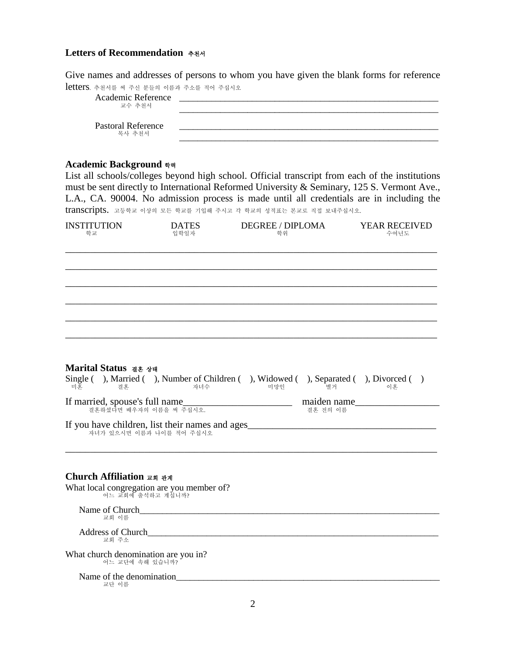## **Letters of Recommendation** 추천서

Give names and addresses of persons to whom you have given the blank forms for reference letters. 추천서를 <sup>써</sup> 주신 분들의 이름과 주소를 적어 주십시오

| Academic Reference<br>교수 추천서        |  |
|-------------------------------------|--|
| <b>Pastoral Reference</b><br>목사 추천서 |  |

## **Academic Background** 학력

List all schools/colleges beyond high school. Official transcript from each of the institutions must be sent directly to International Reformed University & Seminary, 125 S. Vermont Ave., L.A., CA. 90004. No admission process is made until all credentials are in including the transcripts. 고등학교 이상의 모든 학교를 기입해 주시고 <sup>각</sup> 학교의 성적표는 본교로 직접 보내주십시오.

| <b>INSTITUTION</b><br>학교         | <b>DATES</b><br>입학일자                                                                       | <b>DEGREE / DIPLOMA</b><br>학위 |                         | <b>YEAR RECEIVED</b><br>수여년도 |
|----------------------------------|--------------------------------------------------------------------------------------------|-------------------------------|-------------------------|------------------------------|
|                                  |                                                                                            |                               |                         |                              |
|                                  |                                                                                            |                               |                         |                              |
|                                  |                                                                                            |                               |                         |                              |
|                                  |                                                                                            |                               |                         |                              |
|                                  |                                                                                            |                               |                         |                              |
| Marital Status as 상태<br>미혼<br>결혼 | Single (), Married (), Number of Children (), Widowed (), Separated (), Divorced ()<br>자녀수 | 미망인                           | 별거                      | 이혼                           |
| If married, spouse's full name   | 결혼하셨다면 배우자의 이름을 써 주십시오.                                                                    |                               | maiden name<br>결혼 전의 이름 |                              |
|                                  | If you have children, list their names and ages<br>자녀가 있으시면 이름과 나이를 적어 주십시오                |                               |                         |                              |
|                                  |                                                                                            |                               |                         |                              |
| Church Affiliation 교회 관계         |                                                                                            |                               |                         |                              |
| 어느 교회에 출석하고 계십니까?                | What local congregation are you member of?                                                 |                               |                         |                              |

Name of Church\_\_\_\_\_\_\_\_\_\_\_\_\_\_\_\_\_\_\_\_\_\_\_\_\_\_\_\_\_\_\_\_\_\_\_\_\_\_\_\_\_\_\_\_\_\_\_\_\_\_\_\_\_\_\_\_\_\_\_\_\_\_\_\_\_\_ 교회 이름

Address of Church<br>
교회 주소

What church denomination are you in? 어느 교단에 속해 있습니까?

Name of the denomination\_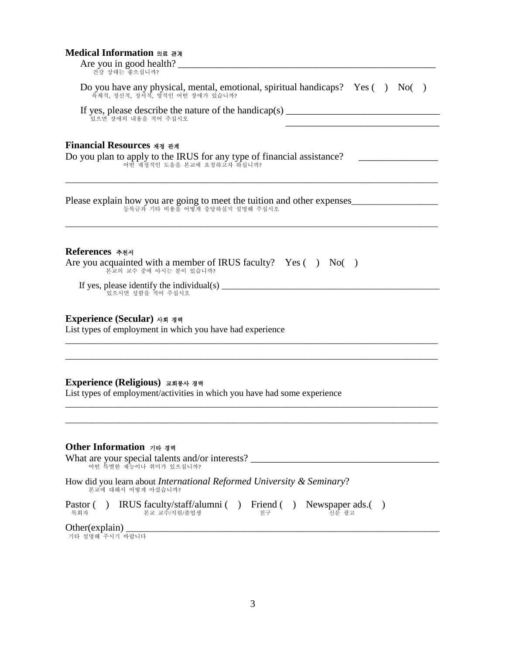## **Medical Information** 의료 관계

| Medical Information 의료 관계<br>Are you in good health?                                                                                                                                                                                                                                                                                                                                                              |
|-------------------------------------------------------------------------------------------------------------------------------------------------------------------------------------------------------------------------------------------------------------------------------------------------------------------------------------------------------------------------------------------------------------------|
| 건강 상태는 좋으십니까?                                                                                                                                                                                                                                                                                                                                                                                                     |
| Do you have any physical, mental, emotional, spiritual handicaps? Yes () No()<br>.<br>육체적, 정신적, 정서적, 영적인 어떤 장애가 있습니까?                                                                                                                                                                                                                                                                                             |
| If yes, please describe the nature of the handicap(s) __________________________<br>있으면 장애의 내용을 적어 주십시오                                                                                                                                                                                                                                                                                                           |
| Financial Resources মন্ত <del>নু</del> স<br>Do you plan to apply to the IRUS for any type of financial assistance?<br>어떤 재정적인 도움을 본교에 요청하고자 하십니까?                                                                                                                                                                                                                                                                 |
| Please explain how you are going to meet the tuition and other expenses<br>등록금과 기타 비용을 어떻게 충당하실지 설명해 주십시오                                                                                                                                                                                                                                                                                                         |
| References 추천서<br>Are you acquainted with a member of IRUS faculty? $Yes( ) No( )$<br>본교의 교수 중에 아시는 분이 있습니까?                                                                                                                                                                                                                                                                                                      |
| If yes, please identify the individual(s) $\frac{1}{\sqrt{1-\frac{1}{\sqrt{1-\frac{1}{\sqrt{1-\frac{1}{\sqrt{1-\frac{1}{\sqrt{1-\frac{1}{\sqrt{1-\frac{1}{\sqrt{1-\frac{1}{\sqrt{1-\frac{1}{\sqrt{1-\frac{1}{\sqrt{1-\frac{1}{\sqrt{1-\frac{1}{\sqrt{1-\frac{1}{\sqrt{1-\frac{1}{\sqrt{1-\frac{1}{\sqrt{1-\frac{1}{\sqrt{1-\frac{1}{\sqrt{1-\frac{1}{\sqrt{1-\frac{1}{\sqrt{1-\frac{1}{\sqrt$<br>있으시면 성함을 적어 주십시오 |
| Experience (Secular) 사회 경력<br>List types of employment in which you have had experience                                                                                                                                                                                                                                                                                                                           |
| Experience (Religious) 교회봉사 경력<br>List types of employment/activities in which you have had some experience                                                                                                                                                                                                                                                                                                       |
| Other Information 기타 경력<br>What are your special talents and/or interests?<br>어떤 특별한 재능이나 취미가 있으십니까?                                                                                                                                                                                                                                                                                                              |
| How did you learn about <i>International Reformed University &amp; Seminary</i> ?<br>본교에 대해서 어떻게 아셨습니까?                                                                                                                                                                                                                                                                                                           |
| Pastor () IRUS faculty/staff/alumni () Friend () Newspaper ads.()<br>본교 교수/직원/졸업생<br>진문 광고<br>목회자<br>친구                                                                                                                                                                                                                                                                                                           |
| Other(explain)                                                                                                                                                                                                                                                                                                                                                                                                    |
| 기타 설명해 주시기 바랍니다                                                                                                                                                                                                                                                                                                                                                                                                   |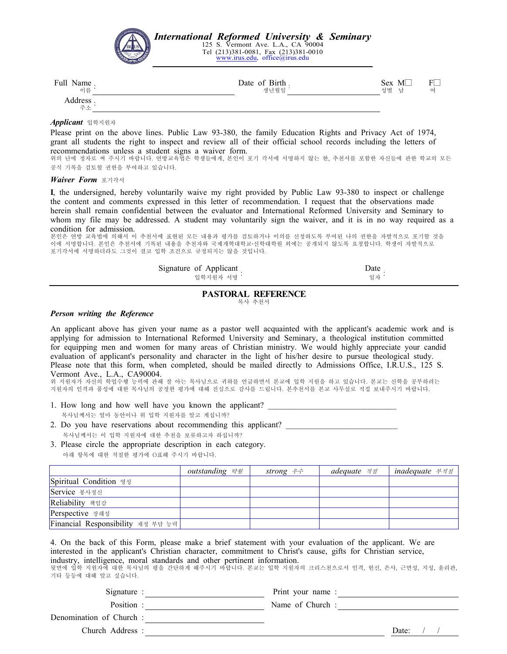

#### *Applicant* 입학지원자

Please print on the above lines. Public Law 93-380, the family Education Rights and Privacy Act of 1974, grant all students the right to inspect and review all of their official school records including the letters of recommendations unless a student signs a waiver form.

위의 난에 정자로 써 주시기 바랍니다. 연방교육법은 학생들에게, 본인이 포기 각서에 서명하지 않는 한, 추천서를 포함한 자신들에 관한 학교의 모든 공식 기록을 검토할 권한을 부여하고 있습니다.

#### *Waiver Form* 포기각서

**I**, the undersigned, hereby voluntarily waive my right provided by Public Law 93-380 to inspect or challenge the content and comments expressed in this letter of recommendation. I request that the observations made herein shall remain confidential between the evaluator and International Reformed University and Seminary to whom my file may be addressed. A student may voluntarily sign the waiver, and it is in no way required as a condition for admission.

본인은 연방 교육법에 의해서 이 추천서에 표현된 모든 내용과 평가를 검토하거나 이의를 신청하도록 부여된 나의 권한을 자발적으로 포기할 것을 이에 서명합니다. 본인은 추천서에 기록된 내용을 추천자와 국제개혁대학교·신학대학원 외에는 공개되지 않도록 요청합니다. 학생이 자발적으로 포기각서에 서명하더라도 그것이 결코 입학 조건으로 규정되지는 않을 것입니다.

| Signature of Applicant | Date |
|------------------------|------|
| 입학지워자 서명 '             | 일자 ' |

#### **PASTORAL REFERENCE**

목사 추천서

#### *Person writing the Reference*

An applicant above has given your name as a pastor well acquainted with the applicant's academic work and is applying for admission to International Reformed University and Seminary, a theological institution committed for equipping men and women for many areas of Christian ministry. We would highly appreciate your candid evaluation of applicant's personality and character in the light of his/her desire to pursue theological study. Please note that this form, when completed, should be mailed directly to Admissions Office, I.R.U.S., 125 S. Vermont Ave., L.A., CA90004. 위 지원자가 자신의 학업수행 능력에 관해 잘 아는 목사님으로 귀하를 언급하면서 본교에 입학 지원을 하고 있습니다. 본교는 신학을 공부하려는

지원자의 인격과 품성에 대한 목사님의 공정한 평가에 대해 진심으로 감사를 드립니다. 본추천서를 본교 사무실로 직접 보내주시기 바랍니다.

- 1. How long and how well have you known the applicant? 목사님께서는 얼마 동안이나 위 입학 지원자를 알고 계십니까?
- 2. Do you have reservations about recommending this applicant?
- 목사님께서는 이 입학 지원자에 대한 추천을 보류하고자 하십니까?
- 3. Please circle the appropriate description in each category.아래 항목에 대한 적절한 평가에 O표해 주시기 바랍니다.

|                                   | outstanding 탁월 | <i>strong 우수</i> | <b>adequate</b> 적절 | inadequate 부적절 |
|-----------------------------------|----------------|------------------|--------------------|----------------|
| Spiritual Condition ञ्जल          |                |                  |                    |                |
| Service 봉사정신                      |                |                  |                    |                |
| Reliability 책임감                   |                |                  |                    |                |
| Perspective 장래성                   |                |                  |                    |                |
| Financial Responsibility 재정 부담 능력 |                |                  |                    |                |

4. On the back of this Form, please make a brief statement with your evaluation of the applicant. We are interested in the applicant's Christian character, commitment to Christ's cause, gifts for Christian service, industry, intelligence, moral standards and other pertinent information. 뒷면에 입학 지원자에 대한 목사님의 평을 간단하게 해주시기 바랍니다. 본교는 입학 지원자의 크리스천으로서 인격, 헌신, 은사, 근면성, 지성, 윤리관, 기타 등등에 대해 알고 싶습니다.

| Signature:              | Print your name: |       |  |
|-------------------------|------------------|-------|--|
| Position:               | Name of Church:  |       |  |
| Denomination of Church: |                  |       |  |
| Church Address:         |                  | Date: |  |